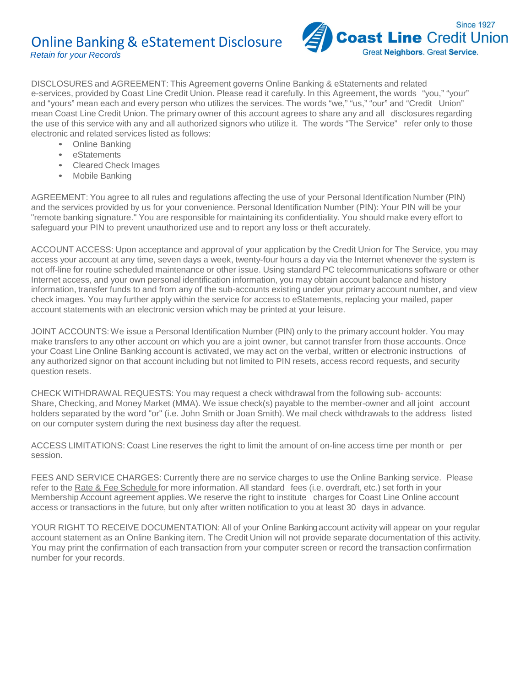

DISCLOSURES and AGREEMENT: This Agreement governs Online Banking & eStatements and related e-services, provided by Coast Line Credit Union. Please read it carefully. In this Agreement, the words "you," "your" and "yours" mean each and every person who utilizes the services. The words "we," "us," "our" and "Credit Union" mean Coast Line Credit Union. The primary owner of this account agrees to share any and all disclosures regarding the use of this service with any and all authorized signors who utilize it. The words "The Service" refer only to those electronic and related services listed as follows:

- Online Banking
- eStatements
- Cleared Check Images
- Mobile Banking

AGREEMENT: You agree to all rules and regulations affecting the use of your Personal Identification Number (PIN) and the services provided by us for your convenience. Personal Identification Number (PIN): Your PIN will be your "remote banking signature." You are responsible for maintaining its confidentiality. You should make every effort to safeguard your PIN to prevent unauthorized use and to report any loss or theft accurately.

ACCOUNT ACCESS: Upon acceptance and approval of your application by the Credit Union for The Service, you may access your account at any time, seven days a week, twenty-four hours a day via the Internet whenever the system is not off-line for routine scheduled maintenance or other issue. Using standard PC telecommunications software or other Internet access, and your own personal identification information, you may obtain account balance and history information, transfer funds to and from any of the sub-accounts existing under your primary account number, and view check images. You may further apply within the service for access to eStatements, replacing your mailed, paper account statements with an electronic version which may be printed at your leisure.

JOINT ACCOUNTS:We issue a Personal Identification Number (PIN) only to the primary account holder. You may make transfers to any other account on which you are a joint owner, but cannot transfer from those accounts. Once your Coast Line Online Banking account is activated, we may act on the verbal, written or electronic instructions of any authorized signor on that account including but not limited to PIN resets, access record requests, and security question resets.

CHECK WITHDRAWAL REQUESTS: You may request a check withdrawal from the following sub- accounts: Share, Checking, and Money Market (MMA). We issue check(s) payable to the member-owner and all joint account holders separated by the word "or" (i.e. John Smith or Joan Smith). We mail check withdrawals to the address listed on our computer system during the next business day after the request.

ACCESS LIMITATIONS: Coast Line reserves the right to limit the amount of on-line access time per month or per session.

FEES AND SERVICE CHARGES: Currently there are no service charges to use the Online Banking service. Please refer to the Rate & Fee Schedule for more information. All standard fees (i.e. overdraft, etc.) set forth in your Membership Account agreement applies. We reserve the right to institute charges for Coast Line Online account access or transactions in the future, but only after written notification to you at least 30 days in advance.

YOUR RIGHT TO RECEIVE DOCUMENTATION: All of your Online Banking account activity will appear on your regular account statement as an Online Banking item. The Credit Union will not provide separate documentation of this activity. You may print the confirmation of each transaction from your computer screen or record the transaction confirmation number for your records.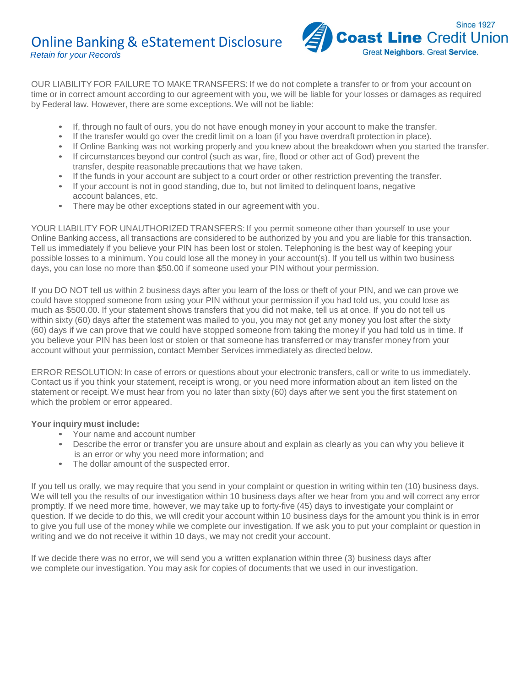

OUR LIABILITY FOR FAILURE TO MAKE TRANSFERS: If we do not complete a transfer to or from your account on time or in correct amount according to our agreement with you, we will be liable for your losses or damages as required by Federal law. However, there are some exceptions.We will not be liable:

- If, through no fault of ours, you do not have enough money in your account to make the transfer.
- If the transfer would go over the credit limit on a loan (if you have overdraft protection in place).
- If Online Banking was not working properly and you knew about the breakdown when you started the transfer.
- If circumstances beyond our control (such as war, fire, flood or other act of God) prevent the transfer, despite reasonable precautions that we have taken.
- If the funds in your account are subject to a court order or other restriction preventing the transfer.
- If your account is not in good standing, due to, but not limited to delinquent loans, negative account balances, etc.
- There may be other exceptions stated in our agreement with you.

YOUR LIABILITY FOR UNAUTHORIZED TRANSFERS: If you permit someone other than yourself to use your Online Banking access, all transactions are considered to be authorized by you and you are liable for this transaction. Tell us immediately if you believe your PIN has been lost or stolen. Telephoning is the best way of keeping your possible losses to a minimum. You could lose all the money in your account(s). If you tell us within two business days, you can lose no more than \$50.00 if someone used your PIN without your permission.

If you DO NOT tell us within 2 business days after you learn of the loss or theft of your PIN, and we can prove we could have stopped someone from using your PIN without your permission if you had told us, you could lose as much as \$500.00. If your statement shows transfers that you did not make, tell us at once. If you do not tell us within sixty (60) days after the statement was mailed to you, you may not get any money you lost after the sixty (60) days if we can prove that we could have stopped someone from taking the money if you had told us in time. If you believe your PIN has been lost or stolen or that someone has transferred or may transfer money from your account without your permission, contact Member Services immediately as directed below.

ERROR RESOLUTION: In case of errors or questions about your electronic transfers, call or write to us immediately. Contact us if you think your statement, receipt is wrong, or you need more information about an item listed on the statement or receipt. We must hear from you no later than sixty (60) days after we sent you the first statement on which the problem or error appeared.

### **Your inquiry must include:**

- Your name and account number
- Describe the error or transfer you are unsure about and explain as clearly as you can why you believe it is an error or why you need more information; and
- The dollar amount of the suspected error.

If you tell us orally, we may require that you send in your complaint or question in writing within ten (10) business days. We will tell you the results of our investigation within 10 business days after we hear from you and will correct any error promptly. If we need more time, however, we may take up to forty-five (45) days to investigate your complaint or question. If we decide to do this, we will credit your account within 10 business days for the amount you think is in error to give you full use of the money while we complete our investigation. If we ask you to put your complaint or question in writing and we do not receive it within 10 days, we may not credit your account.

If we decide there was no error, we will send you a written explanation within three (3) business days after we complete our investigation. You may ask for copies of documents that we used in our investigation.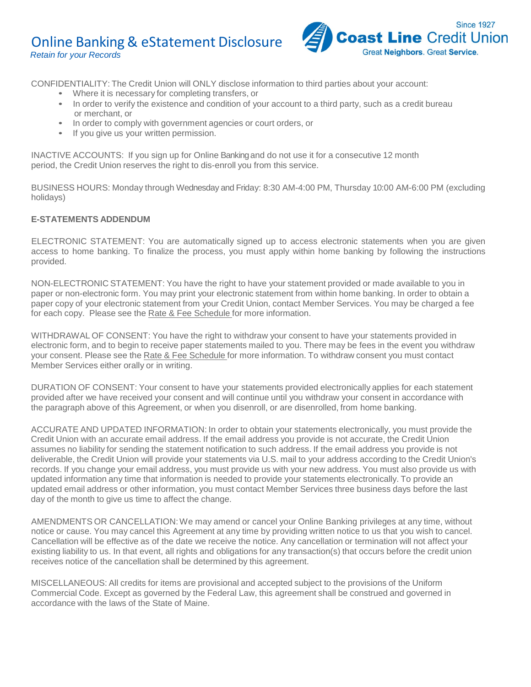

CONFIDENTIALITY: The Credit Union will ONLY disclose information to third parties about your account:

- Where it is necessary for completing transfers, or
- In order to verify the existence and condition of your account to a third party, such as a credit bureau or merchant, or
- In order to comply with government agencies or court orders, or
- If you give us your written permission.

INACTIVE ACCOUNTS: If you sign up for Online Bankingand do not use it for a consecutive 12 month period, the Credit Union reserves the right to dis-enroll you from this service.

BUSINESS HOURS: Monday through Wednesday and Friday: 8:30 AM-4:00 PM, Thursday 10:00 AM-6:00 PM (excluding holidays)

### **E-STATEMENTS ADDENDUM**

ELECTRONIC STATEMENT: You are automatically signed up to access electronic statements when you are given access to home banking. To finalize the process, you must apply within home banking by following the instructions provided.

NON-ELECTRONIC STATEMENT: You have the right to have your statement provided or made available to you in paper or non-electronic form. You may print your electronic statement from within home banking. In order to obtain a paper copy of your electronic statement from your Credit Union, contact Member Services. You may be charged a fee for each copy. Please see the Rate & Fee Schedule for more information.

WITHDRAWAL OF CONSENT: You have the right to withdraw your consent to have your statements provided in electronic form, and to begin to receive paper statements mailed to you. There may be fees in the event you withdraw your consent. Please see the Rate & Fee Schedule for more information. To withdraw consent you must contact Member Services either orally or in writing.

DURATION OF CONSENT: Your consent to have your statements provided electronically applies for each statement provided after we have received your consent and will continue until you withdraw your consent in accordance with the paragraph above of this Agreement, or when you disenroll, or are disenrolled, from home banking.

ACCURATE AND UPDATED INFORMATION: In order to obtain your statements electronically, you must provide the Credit Union with an accurate email address. If the email address you provide is not accurate, the Credit Union assumes no liability for sending the statement notification to such address. If the email address you provide is not deliverable, the Credit Union will provide your statements via U.S. mail to your address according to the Credit Union's records. If you change your email address, you must provide us with your new address. You must also provide us with updated information any time that information is needed to provide your statements electronically. To provide an updated email address or other information, you must contact Member Services three business days before the last day of the month to give us time to affect the change.

AMENDMENTS OR CANCELLATION:We may amend or cancel your Online Banking privileges at any time, without notice or cause. You may cancel this Agreement at any time by providing written notice to us that you wish to cancel. Cancellation will be effective as of the date we receive the notice. Any cancellation or termination will not affect your existing liability to us. In that event, all rights and obligations for any transaction(s) that occurs before the credit union receives notice of the cancellation shall be determined by this agreement.

MISCELLANEOUS: All credits for items are provisional and accepted subject to the provisions of the Uniform Commercial Code. Except as governed by the Federal Law, this agreement shall be construed and governed in accordance with the laws of the State of Maine.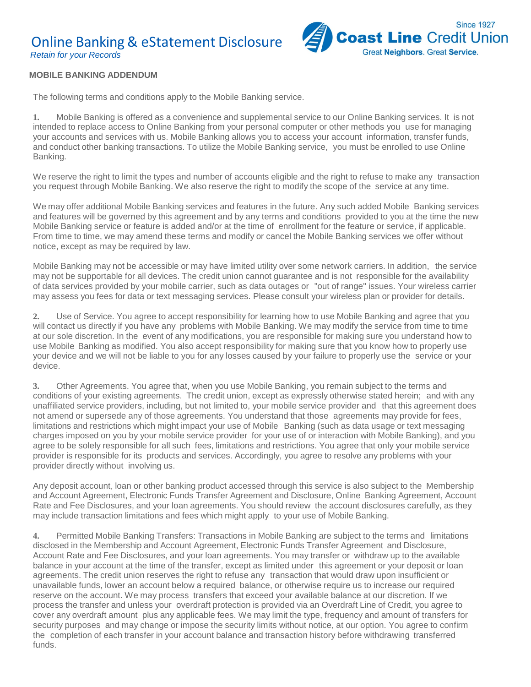

#### **MOBILE BANKING ADDENDUM**

The following terms and conditions apply to the Mobile Banking service.

**1.** Mobile Banking is offered as a convenience and supplemental service to our Online Banking services. It is not intended to replace access to Online Banking from your personal computer or other methods you use for managing your accounts and services with us. Mobile Banking allows you to access your account information, transfer funds, and conduct other banking transactions. To utilize the Mobile Banking service, you must be enrolled to use Online Banking.

We reserve the right to limit the types and number of accounts eligible and the right to refuse to make any transaction you request through Mobile Banking. We also reserve the right to modify the scope of the service at any time.

We may offer additional Mobile Banking services and features in the future. Any such added Mobile Banking services and features will be governed by this agreement and by any terms and conditions provided to you at the time the new Mobile Banking service or feature is added and/or at the time of enrollment for the feature or service, if applicable. From time to time, we may amend these terms and modify or cancel the Mobile Banking services we offer without notice, except as may be required by law.

Mobile Banking may not be accessible or may have limited utility over some network carriers. In addition, the service may not be supportable for all devices. The credit union cannot guarantee and is not responsible for the availability of data services provided by your mobile carrier, such as data outages or "out of range" issues. Your wireless carrier may assess you fees for data or text messaging services. Please consult your wireless plan or provider for details.

**2.** Use of Service. You agree to accept responsibility for learning how to use Mobile Banking and agree that you will contact us directly if you have any problems with Mobile Banking. We may modify the service from time to time at our sole discretion. In the event of any modifications, you are responsible for making sure you understand how to use Mobile Banking as modified. You also accept responsibility for making sure that you know how to properly use your device and we will not be liable to you for any losses caused by your failure to properly use the service or your device.

**3.** Other Agreements. You agree that, when you use Mobile Banking, you remain subject to the terms and conditions of your existing agreements. The credit union, except as expressly otherwise stated herein; and with any unaffiliated service providers, including, but not limited to, your mobile service provider and that this agreement does not amend or supersede any of those agreements. You understand that those agreements may provide for fees, limitations and restrictions which might impact your use of Mobile Banking (such as data usage or text messaging charges imposed on you by your mobile service provider for your use of or interaction with Mobile Banking), and you agree to be solely responsible for all such fees, limitations and restrictions. You agree that only your mobile service provider is responsible for its products and services. Accordingly, you agree to resolve any problems with your provider directly without involving us.

Any deposit account, loan or other banking product accessed through this service is also subject to the Membership and Account Agreement, Electronic Funds Transfer Agreement and Disclosure, Online Banking Agreement, Account Rate and Fee Disclosures, and your loan agreements. You should review the account disclosures carefully, as they may include transaction limitations and fees which might apply to your use of Mobile Banking.

**4.** Permitted Mobile Banking Transfers: Transactions in Mobile Banking are subject to the terms and limitations disclosed in the Membership and Account Agreement, Electronic Funds Transfer Agreement and Disclosure, Account Rate and Fee Disclosures, and your loan agreements. You may transfer or withdraw up to the available balance in your account at the time of the transfer, except as limited under this agreement or your deposit or loan agreements. The credit union reserves the right to refuse any transaction that would draw upon insufficient or unavailable funds, lower an account below a required balance, or otherwise require us to increase our required reserve on the account. We may process transfers that exceed your available balance at our discretion. If we process the transfer and unless your overdraft protection is provided via an Overdraft Line of Credit, you agree to cover any overdraft amount plus any applicable fees. We may limit the type, frequency and amount of transfers for security purposes and may change or impose the security limits without notice, at our option. You agree to confirm the completion of each transfer in your account balance and transaction history before withdrawing transferred funds.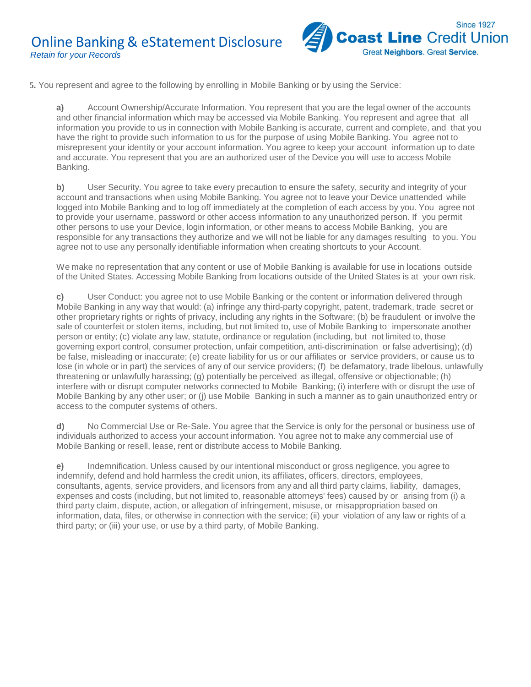

**5.** You represent and agree to the following by enrolling in Mobile Banking or by using the Service:

**a)** Account Ownership/Accurate Information. You represent that you are the legal owner of the accounts and other financial information which may be accessed via Mobile Banking. You represent and agree that all information you provide to us in connection with Mobile Banking is accurate, current and complete, and that you have the right to provide such information to us for the purpose of using Mobile Banking. You agree not to misrepresent your identity or your account information. You agree to keep your account information up to date and accurate. You represent that you are an authorized user of the Device you will use to access Mobile Banking.

**b)** User Security. You agree to take every precaution to ensure the safety, security and integrity of your account and transactions when using Mobile Banking. You agree not to leave your Device unattended while logged into Mobile Banking and to log off immediately at the completion of each access by you. You agree not to provide your username, password or other access information to any unauthorized person. If you permit other persons to use your Device, login information, or other means to access Mobile Banking, you are responsible for any transactions they authorize and we will not be liable for any damages resulting to you. You agree not to use any personally identifiable information when creating shortcuts to your Account.

We make no representation that any content or use of Mobile Banking is available for use in locations outside of the United States. Accessing Mobile Banking from locations outside of the United States is at your own risk.

**c)** User Conduct: you agree not to use Mobile Banking or the content or information delivered through Mobile Banking in any way that would: (a) infringe any third-party copyright, patent, trademark, trade secret or other proprietary rights or rights of privacy, including any rights in the Software; (b) be fraudulent or involve the sale of counterfeit or stolen items, including, but not limited to, use of Mobile Banking to impersonate another person or entity; (c) violate any law, statute, ordinance or regulation (including, but not limited to, those governing export control, consumer protection, unfair competition, anti-discrimination or false advertising); (d) be false, misleading or inaccurate; (e) create liability for us or our affiliates or service providers, or cause us to lose (in whole or in part) the services of any of our service providers; (f) be defamatory, trade libelous, unlawfully threatening or unlawfully harassing; (g) potentially be perceived as illegal, offensive or objectionable; (h) interfere with or disrupt computer networks connected to Mobile Banking; (i) interfere with or disrupt the use of Mobile Banking by any other user; or (j) use Mobile Banking in such a manner as to gain unauthorized entry or access to the computer systems of others.

**d)** No Commercial Use or Re-Sale. You agree that the Service is only for the personal or business use of individuals authorized to access your account information. You agree not to make any commercial use of Mobile Banking or resell, lease, rent or distribute access to Mobile Banking.

**e)** Indemnification. Unless caused by our intentional misconduct or gross negligence, you agree to indemnify, defend and hold harmless the credit union, its affiliates, officers, directors, employees, consultants, agents, service providers, and licensors from any and all third party claims, liability, damages, expenses and costs (including, but not limited to, reasonable attorneys' fees) caused by or arising from (i) a third party claim, dispute, action, or allegation of infringement, misuse, or misappropriation based on information, data, files, or otherwise in connection with the service; (ii) your violation of any law or rights of a third party; or (iii) your use, or use by a third party, of Mobile Banking.